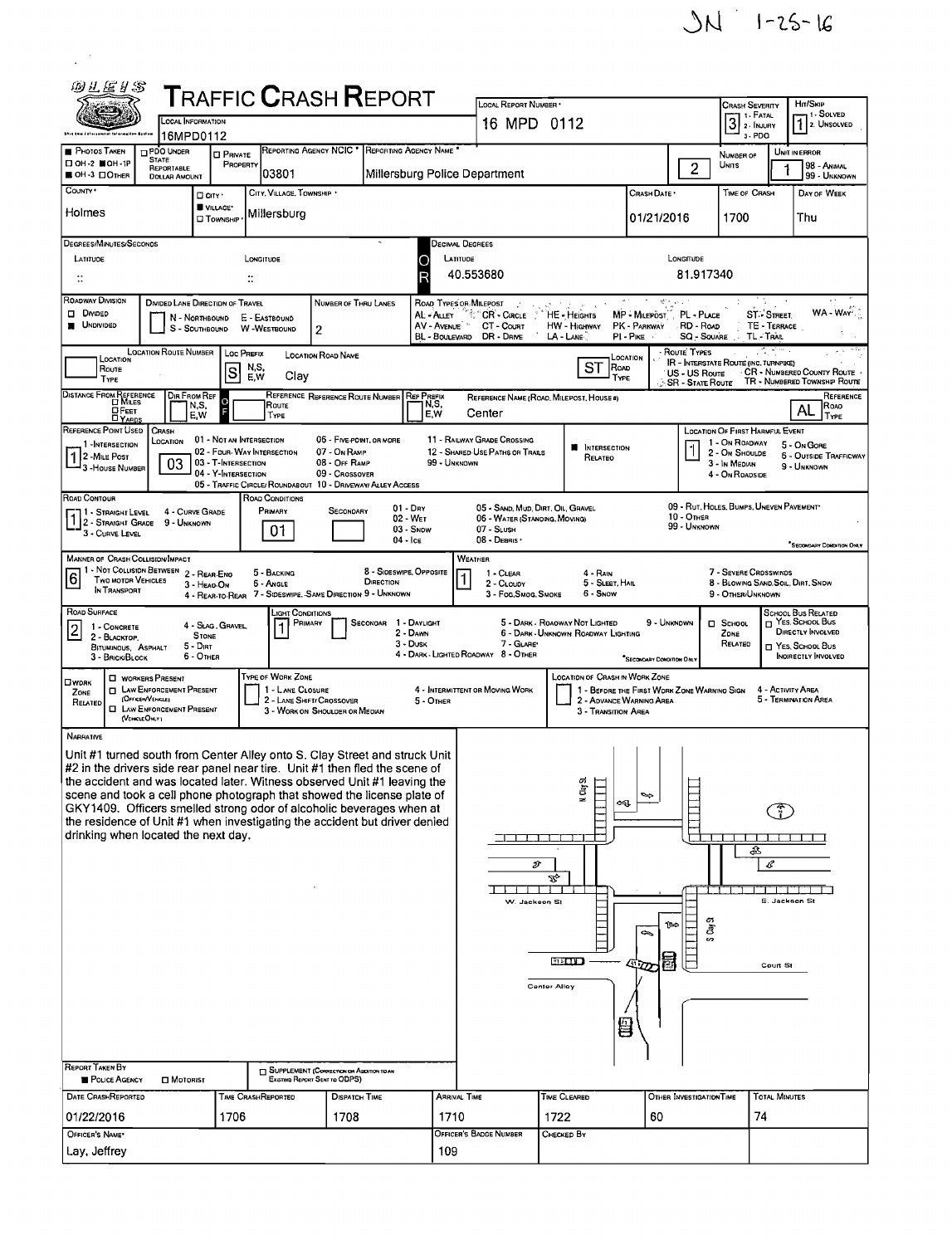

| 四儿尾#\$                                                                                                                                                                                                                                                                                                                                                                                                                                                                                                                                                                | <b>TRAFFIC CRASH REPORT</b><br>LOCAL INFORMATION<br>16MPD0112                                                                                                                                                                                                                                                                                                                                                 |                                            |                                                                                                                      |                                                                             |                                               |                                                                    |                                                                | LOCAL REPORT NUMBER .<br>16 MPD 0112                                  |                                                                         | <b>CRASH SEVERITY</b><br>1 1 - Ратац<br>$3!$ 2 - INJURY                                                                |                                                                                                         | Hn/Skip<br>- 1 - Solved<br>$72$ UNSOLVED |                                                             |  |
|-----------------------------------------------------------------------------------------------------------------------------------------------------------------------------------------------------------------------------------------------------------------------------------------------------------------------------------------------------------------------------------------------------------------------------------------------------------------------------------------------------------------------------------------------------------------------|---------------------------------------------------------------------------------------------------------------------------------------------------------------------------------------------------------------------------------------------------------------------------------------------------------------------------------------------------------------------------------------------------------------|--------------------------------------------|----------------------------------------------------------------------------------------------------------------------|-----------------------------------------------------------------------------|-----------------------------------------------|--------------------------------------------------------------------|----------------------------------------------------------------|-----------------------------------------------------------------------|-------------------------------------------------------------------------|------------------------------------------------------------------------------------------------------------------------|---------------------------------------------------------------------------------------------------------|------------------------------------------|-------------------------------------------------------------|--|
| <b>PHOTOS TAKEN</b><br>□ ОН-2 ■ОН-1Р                                                                                                                                                                                                                                                                                                                                                                                                                                                                                                                                  | PDO UNDER<br><b>STATE</b>                                                                                                                                                                                                                                                                                                                                                                                     | <b>CI PRIVATE</b><br>PROPERTY              | REPORTING AGENCY NCIC *                                                                                              |                                                                             | <b>REPORTING AGENCY NAME</b>                  |                                                                    |                                                                |                                                                       |                                                                         | 3-PDO<br>NUMBER OF<br>Units                                                                                            |                                                                                                         | UNIT IN ERROR<br>98 - Andia              |                                                             |  |
| OH-3 DOTHER<br>COUNTY *                                                                                                                                                                                                                                                                                                                                                                                                                                                                                                                                               | REPORTABLE<br><b>DOLLAR AMOUNT</b>                                                                                                                                                                                                                                                                                                                                                                            | □ CITY *                                   | 103801<br>CITY, VILLAGE, TOWNSHIP .                                                                                  |                                                                             | Millersburg Police Department                 |                                                                    |                                                                | Crash Date •                                                          | $\overline{2}$                                                          | <b>TIME OF CRASH</b>                                                                                                   |                                                                                                         | 99 - UNKNOWN<br>DAY OF WEEK              |                                                             |  |
| Holmes                                                                                                                                                                                                                                                                                                                                                                                                                                                                                                                                                                |                                                                                                                                                                                                                                                                                                                                                                                                               | VILLAGE*<br><b>CI</b> TOWNSHIP             | Millersburg                                                                                                          |                                                                             |                                               |                                                                    |                                                                | 01/21/2016                                                            | 1700                                                                    |                                                                                                                        | Thu                                                                                                     |                                          |                                                             |  |
| DEGREES/MINUTES/SECONDS<br>LATITUDE<br>$\mathcal{V}^{\bullet}_{\bullet}$                                                                                                                                                                                                                                                                                                                                                                                                                                                                                              |                                                                                                                                                                                                                                                                                                                                                                                                               |                                            | LONGITUDE                                                                                                            |                                                                             |                                               | DECIMAL DEGREES<br>LONGITUDE<br>LATITUDE<br>81.917340<br>40.553680 |                                                                |                                                                       |                                                                         |                                                                                                                        |                                                                                                         |                                          |                                                             |  |
| ROADWAY DIVISION<br>DIVIDED LANE DIRECTION OF TRAVEL<br>NUMBER OF THRU LANES<br>ROAD TYPES OR MILEPOST<br><b>DIVIDED</b><br>AL - ALLEY " CR' - CIRCLE "<br>MP - MILEPOST", PL - PLACE<br>HE - HEIGHTS<br>ST > STREET<br>E - EASTBOUND<br>N - Northbound<br><b>UNDIVIDED</b><br>AV - AVENUE<br><b>HW - HIGHWAY</b><br>PK - PARKWAY<br>TE - TERRACE<br>CT COURT<br>RD - Road<br>S - SOUTHBOUND<br><b>W</b> -WESTBOUND<br>2<br>BL - BOULEVARD DR - DRIVE<br>SQ - Square<br>TL-TRAL<br>LA - LANE<br>PI - PIKE                                                             |                                                                                                                                                                                                                                                                                                                                                                                                               |                                            |                                                                                                                      |                                                                             |                                               |                                                                    |                                                                |                                                                       | WA - WAY                                                                |                                                                                                                        |                                                                                                         |                                          |                                                             |  |
| LOCATION<br>Route<br><b>TYPE</b>                                                                                                                                                                                                                                                                                                                                                                                                                                                                                                                                      | LOCATION ROUTE NUMBER   LOC PREFIX                                                                                                                                                                                                                                                                                                                                                                            | s                                          | N.S.<br>Clay<br>E,W                                                                                                  | LOCATION ROAD NAME                                                          |                                               |                                                                    |                                                                | SТ                                                                    | LOCATION<br>ROAD<br>TYPE                                                | ROUTE TYPES<br><b>IR - INTERSTATE ROUTE (INC. TURNPIKE)</b><br>US - US Route<br><b>SR - STATE ROUTE</b>                |                                                                                                         |                                          | CR - NUMBERED COUNTY ROUTE<br>TR - NUMBERED TOWNSHIP ROUTE  |  |
| DISTANCE FROM REFERENCE<br>$\Box$ Feet<br><b>DYARDS</b>                                                                                                                                                                                                                                                                                                                                                                                                                                                                                                               | Dir From Ref<br>N,S,<br>E,W                                                                                                                                                                                                                                                                                                                                                                                   | $\overline{O}$                             | Route<br>TYPE                                                                                                        | REFERENCE REFERENCE ROUTE NUMBER                                            | <b>REF PREFIX</b>                             | N,S,<br>E.W                                                        | Center                                                         | REFERENCE NAME (ROAD, MILEPOST, HOUSE #)                              |                                                                         |                                                                                                                        |                                                                                                         |                                          | REFERENCE<br>ROAO<br>AL<br>TYPE                             |  |
| REFERENCE POINT USED<br>1 INTERSECTION<br>2 - MILE POST<br>3 - HOUSE NUMBER                                                                                                                                                                                                                                                                                                                                                                                                                                                                                           | CRASH<br>LOCATION<br>03                                                                                                                                                                                                                                                                                                                                                                                       | 03 - T-INTERSECTION<br>04 - Y-INTERSECTION | 01 - NOT AN INTERSECTION<br>02 - FOUR-WAY INTERSECTION<br>05 - TRAFFIC CIRCLE/ROUNDABOUT 10 - DRIVEWAY/ ALLEY ACCESS | 06 - FIVE-POINT, OR MORE<br>07 - On RAMP<br>08 - Off RAMP<br>09 - Crossover |                                               | 99 - UNKNOWN                                                       | 11 - RAILWAY GRADE CROSSING<br>12 - SHARED-USE PATHS OR TRAILS | <b>N</b> INTERSECTION<br>RELATED                                      |                                                                         |                                                                                                                        | LOCATION OF FIRST HARMFUL EVENT<br>1 - On ROADWAY<br>2 - On Shoulde<br>3 - In Median<br>4 - On ROADSIDE |                                          | 5 - On Gore<br><b>6 - OUTSIDE TRAFFICWAY</b><br>9 - UNKNOWN |  |
|                                                                                                                                                                                                                                                                                                                                                                                                                                                                                                                                                                       | ROAD CONTOUR<br>ROAD CONDITIONS<br>09 - RUT, HOLES, BUMPS, UNEVEN PAVEMENT*<br>$01 - \text{Dry}$<br>05 - SAND, MUD, DIRT, OIL, GRAVEL<br>PRIMARY<br>SECONDARY<br>4 - CURVE GRADE<br>  1 - Straight Level<br>$10 -$ OTHER<br>02 - WET<br>06 - WATER (STANDING, MOVING)<br>2 - STRAIGHT GRADE<br>9 - UNKNOWN<br>99 - UNKNOWN<br>03 - Snow<br>07 - SLUSH<br>01<br>3 - CURVE LEVEL<br>08 - DEBRIS '<br>$04 -$ Ice |                                            |                                                                                                                      |                                                                             |                                               |                                                                    |                                                                |                                                                       |                                                                         |                                                                                                                        |                                                                                                         |                                          |                                                             |  |
| <b>MANNER OF CRASH COLLISION/IMPACT</b><br>6<br><b>TWO MOTOR VEHICLES</b><br>IN TRANSPORT                                                                                                                                                                                                                                                                                                                                                                                                                                                                             | 1 - Not Collision Between 2 - Rear-Eno<br>3 - HEAO-ON                                                                                                                                                                                                                                                                                                                                                         |                                            | 5 - BACKING<br>6 - ANGLE<br>4 - REAR-TO-REAR 7 - SIDESWIPE, SAME DIRECTION 9 - UNKNOWN                               |                                                                             | 8 - SIDESWIPE, OPPOSITE<br>DIRECTION          | 1                                                                  | WEATHER<br>1 - CLEAR<br>2 - CLOUDY<br>3 - Fog Smog Smoke       | $4 - R_{AlN}$<br>5 - SLEET, HAIL<br>6 - Snow                          |                                                                         |                                                                                                                        | 7 - SEVERE CROSSWINDS<br>8 - BLOWING SAND, SOIL, DIRT, SNDW<br>9 - OTHER/UNKNOWN                        |                                          | SECONDARY CONDITION ONLY                                    |  |
| ROAD SURFACE<br>1 - CONCRETE<br>2 - BLACKTOP.<br>BITUMINOUS, ASPHALT<br>3 - BRICK/BLOCK                                                                                                                                                                                                                                                                                                                                                                                                                                                                               | <b>STONE</b><br>$5 - D$ IRT<br>6 - OTHER                                                                                                                                                                                                                                                                                                                                                                      | 4 - Slag, Gravel                           | Light Conditions<br>PRIMARY                                                                                          |                                                                             | SECONDAR 1 - DAYLIGHT<br>2 - DAWN<br>3 - Dusk |                                                                    | 7 - GLARE*<br>4 - DARK - LIGHTED ROADWAY 8 - OTHER             | 5 - DARK - ROAOWAY NOT LIGHTED<br>6 - DARK - UNKNOWN ROADWAY LIGHTING | $\square$ SCHOOL<br>ZONE<br>RELATED                                     | <b>SCHOOL BUS RELATED</b><br>T YES, SCHOOL BUS<br><b>DIRECTLY INVOLVED</b><br>T YES, SCHOOL BUS<br>INDIRECTLY INVOLVED |                                                                                                         |                                          |                                                             |  |
| <b>OWDRK</b><br>ZONE<br>RELATED                                                                                                                                                                                                                                                                                                                                                                                                                                                                                                                                       | <b>U</b> WORKERS PRESENT<br><b>D</b> LAW ENFORCEMENT PRESENT<br>(OFFICER/VEHICLE)<br><b>EL LAW ENFORCEMENT PRESENT</b><br>(VEHCLEONLY)                                                                                                                                                                                                                                                                        |                                            | TYPE OF WORK ZONE<br>1 - LANE CLOSURE                                                                                | 2 - LANE SHIFT/ CROSSOVER<br>3 - WORK ON SHOULDER OR MEDIAN                 |                                               | 5 - OTHER                                                          | 4 - INTERMITTENT OR MOVING WORK                                | <b>LOCATION OF CRASH IN WORK ZONE</b><br>3 - TRANSITION AREA          | 1 - BEFORE THE FIRST WORK ZONE WARNING SIGN<br>2 - ADVANCE WARNING AREA |                                                                                                                        |                                                                                                         | 4 - ACTIVITY AREA                        | 5 - TERMINATION AREA                                        |  |
| NARRATIVE<br>Unit #1 turned south from Center Alley onto S. Clay Street and struck Unit<br>#2 in the drivers side rear panel near tire. Unit #1 then fled the scene of<br>the accident and was located later. Witness observed Unit #1 leaving the<br>scene and took a cell phone photograph that showed the license plate of<br>GKY1409. Officers smelled strong odor of alcoholic beverages when at<br>the residence of Unit #1 when investigating the accident but driver denied<br>drinking when located the next day.<br><b>REPORT TAKEN BY</b><br>POLICE AGENCY | $\square$ Motorist                                                                                                                                                                                                                                                                                                                                                                                            |                                            | SUPPLEMENT (CORRECTION OR ADDITION TO AN                                                                             | EXISTING REPORT SENT TO ODPS)                                               |                                               |                                                                    | 70 D D D D D<br>s<br>W. Jackson St                             | N. Clay SL<br>Æ,<br><b>MADD</b><br>Center Alley                       | ∾<br>⇔ા<br>⇔                                                            | Clay St<br>ি⇔<br>$\sim$                                                                                                | ♧                                                                                                       | C<br>E. Jackson St.<br>Court St          |                                                             |  |
| DATE CRASHREPORTED                                                                                                                                                                                                                                                                                                                                                                                                                                                                                                                                                    |                                                                                                                                                                                                                                                                                                                                                                                                               | 1706                                       | TIME CRASHREPORTED                                                                                                   | DISPATCH TIME<br>1708                                                       |                                               | <b>ARRIVAL TIME</b>                                                |                                                                | TIME CLEARED                                                          |                                                                         | OTHER INVESTIGATION TIME                                                                                               |                                                                                                         | <b>TOTAL MINUTES</b>                     |                                                             |  |
| 01/22/2016<br>OFFICER'S NAME*                                                                                                                                                                                                                                                                                                                                                                                                                                                                                                                                         |                                                                                                                                                                                                                                                                                                                                                                                                               |                                            | 1710                                                                                                                 | OFFICER'S BADGE NUMBER                                                      | 1722<br>Снескер Ву                            | 60                                                                 | 74                                                             |                                                                       |                                                                         |                                                                                                                        |                                                                                                         |                                          |                                                             |  |
| Lay, Jeffrey                                                                                                                                                                                                                                                                                                                                                                                                                                                                                                                                                          |                                                                                                                                                                                                                                                                                                                                                                                                               |                                            |                                                                                                                      | 109                                                                         |                                               |                                                                    |                                                                |                                                                       |                                                                         |                                                                                                                        |                                                                                                         |                                          |                                                             |  |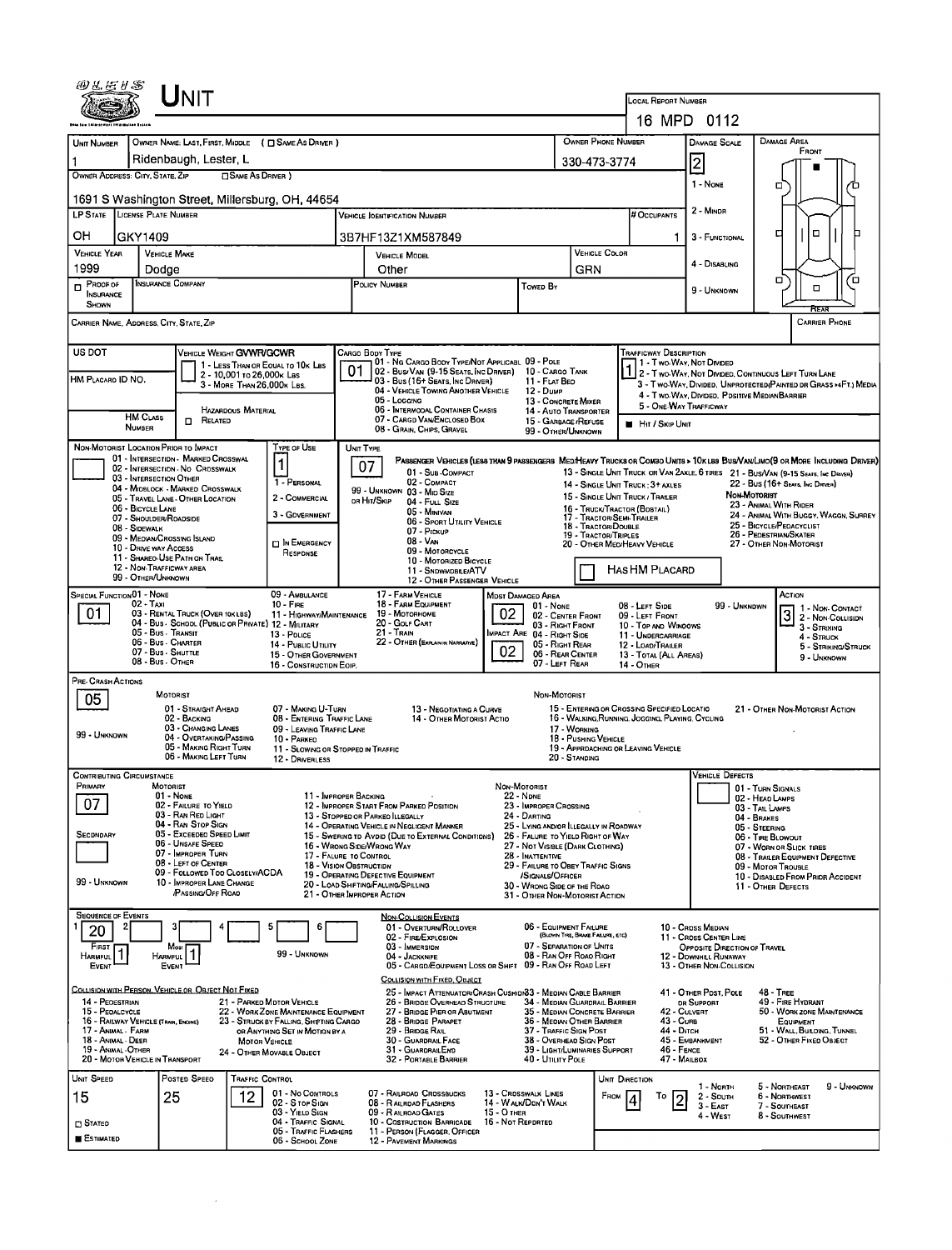|                                                                                                                                                                                                                                                                                                                             | UNIT                                                                               |                                                                          |                                                           |                                                                                                  |                                                          |                                                           |                                                                             |                                                                  |                                                                                             |                                                                                                                        |                                                                                                                               |  |
|-----------------------------------------------------------------------------------------------------------------------------------------------------------------------------------------------------------------------------------------------------------------------------------------------------------------------------|------------------------------------------------------------------------------------|--------------------------------------------------------------------------|-----------------------------------------------------------|--------------------------------------------------------------------------------------------------|----------------------------------------------------------|-----------------------------------------------------------|-----------------------------------------------------------------------------|------------------------------------------------------------------|---------------------------------------------------------------------------------------------|------------------------------------------------------------------------------------------------------------------------|-------------------------------------------------------------------------------------------------------------------------------|--|
|                                                                                                                                                                                                                                                                                                                             |                                                                                    |                                                                          |                                                           | LOCAL REPORT NUMBER                                                                              |                                                          |                                                           |                                                                             |                                                                  |                                                                                             |                                                                                                                        |                                                                                                                               |  |
|                                                                                                                                                                                                                                                                                                                             |                                                                                    |                                                                          |                                                           |                                                                                                  | 16 MPD 0112                                              |                                                           |                                                                             |                                                                  |                                                                                             |                                                                                                                        |                                                                                                                               |  |
| <b>UNIT NUMBER</b>                                                                                                                                                                                                                                                                                                          | OWNER NAME: LAST, FIRST, MIDDLE ( C SAME AS DRIVER )<br>Ridenbaugh, Lester L       |                                                                          |                                                           |                                                                                                  | OWNER PHONE NUMBER                                       |                                                           | <b>DAMAGE SCALE</b>                                                         |                                                                  | <b>DAMAGE AREA</b><br>FRONT                                                                 |                                                                                                                        |                                                                                                                               |  |
| OWNER ADDRESS: CITY, STATE, ZIP                                                                                                                                                                                                                                                                                             |                                                                                    | <b>SAME AS DRIVER</b> )                                                  |                                                           | 330-473-3774                                                                                     |                                                          | $\overline{2}$                                            |                                                                             |                                                                  |                                                                                             |                                                                                                                        |                                                                                                                               |  |
| 1 - NONE<br>□<br>1691 S Washington Street, Millersburg, OH, 44654                                                                                                                                                                                                                                                           |                                                                                    |                                                                          |                                                           |                                                                                                  |                                                          |                                                           |                                                                             |                                                                  |                                                                                             |                                                                                                                        |                                                                                                                               |  |
| LP STATE LICENSE PLATE NUMBER                                                                                                                                                                                                                                                                                               |                                                                                    |                                                                          |                                                           | # OCCUPANTS                                                                                      | 2 - MINDR                                                |                                                           |                                                                             |                                                                  |                                                                                             |                                                                                                                        |                                                                                                                               |  |
| OН<br>GKY1409                                                                                                                                                                                                                                                                                                               |                                                                                    |                                                                          |                                                           | 3B7HF13Z1XM587849                                                                                |                                                          |                                                           | 3 - FUNCTIONAL                                                              |                                                                  | O<br>□                                                                                      |                                                                                                                        |                                                                                                                               |  |
| VEHICLE YEAR                                                                                                                                                                                                                                                                                                                | <b>VEHICLE MAKE</b>                                                                |                                                                          |                                                           | <b>VEHICLE MODEL</b>                                                                             |                                                          |                                                           | VEHICLE COLOR                                                               |                                                                  | 4 - DISABLING                                                                               |                                                                                                                        |                                                                                                                               |  |
| 1999<br>$P$ Roof or                                                                                                                                                                                                                                                                                                         | Dodge<br>INSURANCE COMPANY                                                         |                                                                          |                                                           | Other<br>POLICY NUMBER<br><b>TOWED BY</b>                                                        |                                                          |                                                           | GRN                                                                         |                                                                  |                                                                                             |                                                                                                                        | Ω<br>о<br>α                                                                                                                   |  |
| <b>INSURANCE</b><br>SHOWN                                                                                                                                                                                                                                                                                                   |                                                                                    |                                                                          |                                                           |                                                                                                  |                                                          |                                                           |                                                                             | 9 - UNKNOWN                                                      |                                                                                             |                                                                                                                        |                                                                                                                               |  |
| CARRIER NAME, ADDRESS, CITY, STATE, ZIP                                                                                                                                                                                                                                                                                     |                                                                                    |                                                                          |                                                           |                                                                                                  |                                                          |                                                           |                                                                             |                                                                  |                                                                                             |                                                                                                                        | <b>CARRIER PHONE</b>                                                                                                          |  |
| US DOT<br><b>TRAFFICWAY DESCRIPTION</b><br>VEHICLE WEIGHT GVWR/GCWR<br>CARGO BODY TYPE<br>01 - NG CARGO BODY TYPE/NOT APPLICABL 09 - POLE<br>1 - Two-Way, Not Divided                                                                                                                                                       |                                                                                    |                                                                          |                                                           |                                                                                                  |                                                          |                                                           |                                                                             |                                                                  |                                                                                             |                                                                                                                        |                                                                                                                               |  |
| HM PLACARD ID NO.                                                                                                                                                                                                                                                                                                           |                                                                                    | 1 - LESS THAN OR EQUAL TO 10K LBS<br>2 - 10,001 to 26,000 k Las          | 01                                                        | 02 - Bus/Van (9-15 Seats, Inc Driver)<br>03 - Bus (16+ Seats, Inc Driver)                        |                                                          | 10 - CARGO TANK<br>11 - FLAT BEO                          |                                                                             |                                                                  |                                                                                             | 2 - Two-Way, Not Divideo, Continuous Left Turn Lane<br>3 - Two-Way, Divided, UNPROTECTED(PAINTED DR GRASS >4FT.) MEDIA |                                                                                                                               |  |
|                                                                                                                                                                                                                                                                                                                             |                                                                                    | 3 - MORE THAN 26,000K LBS.                                               |                                                           | 04 - VEHICLE TOWING ANOTHER VEHICLE<br>05 - Logging                                              |                                                          | 12 - Dump<br>13 - CONCRETE MIXER                          |                                                                             |                                                                  | 4 - Two-Way, Divided. Positive Median Barrier                                               |                                                                                                                        |                                                                                                                               |  |
|                                                                                                                                                                                                                                                                                                                             | <b>HM CLASS</b><br><b>n</b> Related                                                | HAZARDOUS MATERIAL                                                       |                                                           | 06 - INTERMODAL CONTAINER CHASIS<br>07 - CARGD VAN/ENCLOSED BOX                                  |                                                          | 15 - GARBAGE / REFUSE                                     | 14 - Auto Transporter                                                       | 5 - ONE-WAY TRAFFICWAY<br><b>HIT / SKIP UNIT</b>                 |                                                                                             |                                                                                                                        |                                                                                                                               |  |
| <b>NUMBER</b>                                                                                                                                                                                                                                                                                                               | NON-MOTORIST LOCATION PRIOR TO IMPACT                                              | TYPE OF USE                                                              |                                                           | 08 - GRAIN, CHIPS, GRAVEL<br>UNIT TYPE                                                           |                                                          | 99 - OTHER/UNKNOWN                                        |                                                                             |                                                                  |                                                                                             |                                                                                                                        |                                                                                                                               |  |
|                                                                                                                                                                                                                                                                                                                             | 01 - INTERSECTION - MARKED CROSSWAL<br>02 - INTERSECTION - NO CROSSWALK            | $\mathbf{1}$                                                             |                                                           | 07                                                                                               |                                                          |                                                           |                                                                             |                                                                  |                                                                                             |                                                                                                                        | PASSENGER VEHICLES (LESS THAN 9 PASSENGERS MEDIHEAVY TRUCKS OR COMBO UNITS > 10 KLBS BUS/VAWLIMO (9 OR MORE INCLUDING DRIVER) |  |
|                                                                                                                                                                                                                                                                                                                             | 03 - INTERSECTION OTHER<br>04 - MIDBLOCK - MARKED CROSSWALK                        |                                                                          | 1 - PERSONAL                                              | 01 - SUB-COMPACT<br>02 - COMPACT<br>99 - UNKNOWN 03 - MID SIZE                                   |                                                          |                                                           |                                                                             | 14 - SINGLE UNIT TRUCK: 3+ AXLES                                 |                                                                                             |                                                                                                                        | 13 - SINGLE UNIT TRUCK OR VAN ZAXLE, 6 TIRES 21 - BUS/VAN (9-15 SEATS. INC DRIVER)<br>22 - BUS (16+ SEATS, INC DRIVER)        |  |
|                                                                                                                                                                                                                                                                                                                             | 05 - TRAVEL LANE - OTHER LOCATION<br>06 - BICYCLE LANE                             |                                                                          | 2 - COMMERCIAL                                            | OR HIT/SKIP<br>04 - FULL SIZE<br>05 - MINIVAN                                                    |                                                          |                                                           |                                                                             | 15 - SINGLE UNIT TRUCK / TRAILER<br>16 - TRUCK/TRACTOR (BOBTAIL) |                                                                                             | NON-MOTORIST                                                                                                           | 23 - ANIMAL WITH RIDER                                                                                                        |  |
| 08 - SIDEWALK                                                                                                                                                                                                                                                                                                               | 07 - SHOULDER/ROADSIDE                                                             |                                                                          | 3 - GOVERNMENT                                            | 06 - SPORT UTILITY VEHICLE<br>07 - PICKUP                                                        |                                                          | 17 - TRACTOR/SEMI-TRAILER<br>18 - TRACTOR/DOUBLE          |                                                                             |                                                                  | 24 - ANIMAL WITH BUGGY, WAGGN, SURREY<br>25 - BICYCLE/PEDACYCLIST<br>26 - PEDESTRIAN/SKATER |                                                                                                                        |                                                                                                                               |  |
|                                                                                                                                                                                                                                                                                                                             | 09 - MEOWN/CROSSING ISLAND<br>10 - DRIVE WAY ACCESS                                |                                                                          | <b>DIN EMERGENCY</b><br>RESPONSE                          | 08 - VAN<br>09 - MOTORCYCLE                                                                      |                                                          | 19 - TRACTOR/TRIPLES                                      | 20 - OTHER MED/HEAVY VEHICLE                                                |                                                                  | 27 - OTHER NON-MOTORIST                                                                     |                                                                                                                        |                                                                                                                               |  |
| 11 - SHAREO-USE PATH OR TRAIL<br>10 - MOTORIZED BICYCLE<br>12 - NON-TRAFFICWAY AREA<br>HAS HM PLACARD<br>11 - SNOWMOBLE/ATV<br>99 - OTHER/UNKNOWN                                                                                                                                                                           |                                                                                    |                                                                          |                                                           |                                                                                                  |                                                          |                                                           |                                                                             |                                                                  |                                                                                             |                                                                                                                        |                                                                                                                               |  |
| SPECIAL FUNCTION 01 - NONE                                                                                                                                                                                                                                                                                                  |                                                                                    |                                                                          | 09 - AMBULANCE                                            | 12 - OTHER PASSENGER VEHICLE<br>17 - FARM VEHICLE                                                | <b>MDST DAMAGED AREA</b>                                 |                                                           |                                                                             |                                                                  |                                                                                             |                                                                                                                        | ACTION                                                                                                                        |  |
| 01                                                                                                                                                                                                                                                                                                                          | 02 - Taxı<br>03 - RENTAL TRUCK (OVER 10KLBS)                                       | $10 -$ Fire                                                              | 11 - HIGHWAY/MAINTENANCE                                  | 18 - FARM EQUIPMENT<br>19 - Мотовноме                                                            | $01 - None$<br>02 - CENTER FRONT                         |                                                           | 08 - LEFT SIDE<br>09 - LEFT FRONT                                           |                                                                  | 99 - Unkndwn                                                                                | 1 - Non-Contact<br>3<br>2 - Non-Collision                                                                              |                                                                                                                               |  |
| 04 - BUS - SCHOOL (PUBLIC OR PRIVATE) 12 - MILITARY<br>20 - GOLF CART<br>03 - RIGHT FRONT<br>10 - Top and Windows<br>05 - Bus - Transit<br>21 - Train<br>MPACT ARE 04 - RIGHT SIDE<br>13 - Pouce<br>11 - UNDERCARRIAGE<br>22 - OTHER (EXPLAIN IN NAPRATIVE)<br>06 - Bus - Charter<br>05 - Right Rear<br>14 - PUBLIC UTILITY |                                                                                    |                                                                          |                                                           |                                                                                                  |                                                          |                                                           |                                                                             | 3 - STRIKING<br>4 - STRUCK                                       |                                                                                             |                                                                                                                        |                                                                                                                               |  |
|                                                                                                                                                                                                                                                                                                                             | 07 - Bus SHUTTLE<br>08 - Bus - OTHER                                               |                                                                          | 15 - OTHER GOVERNMENT                                     |                                                                                                  | 06 - REAR CENTER                                         | 12 - LOAD/TRAILER<br>13 - TOTAL (ALL AREAS)<br>14 - OTHER |                                                                             |                                                                  | 5 - STRIKING/STRUCK<br>9 - UNKNOWN                                                          |                                                                                                                        |                                                                                                                               |  |
| PRE- CRASH ACTIONS                                                                                                                                                                                                                                                                                                          | 07 - LEFT REAR<br>16 - CONSTRUCTION EOIP.                                          |                                                                          |                                                           |                                                                                                  |                                                          |                                                           |                                                                             |                                                                  |                                                                                             |                                                                                                                        |                                                                                                                               |  |
| 05                                                                                                                                                                                                                                                                                                                          | MOTORIST<br>01 - STRAIGHT AHEAD                                                    |                                                                          | 07 - MAKING U-TURN                                        | 13 - NEGOTIATING A CURVE                                                                         |                                                          | NON-MOTORIST                                              |                                                                             | 15 - ENTERING OR CROSSING SPECIFIED LOCATIO                      |                                                                                             |                                                                                                                        | 21 - OTHER NON-MOTORIST ACTION                                                                                                |  |
|                                                                                                                                                                                                                                                                                                                             | 02 - BACKING<br>03 - CHANGING LANES                                                |                                                                          | 08 - ENTERING TRAFFIC LANE<br>09 - LEAVING TRAFFIC LANE   | 14 - OTHER MOTORIST ACTIO                                                                        |                                                          | 17 - WORKING                                              |                                                                             | 16 - WALKING, RUNNING, JOGGING, PLAYING, CYCLING                 |                                                                                             |                                                                                                                        |                                                                                                                               |  |
| 99 - UNKNDWN                                                                                                                                                                                                                                                                                                                | 04 - OVERTAKING/PASSING<br>05 - MAKING RIGHT TURN                                  | 10 - PARKED                                                              | 11 - SLOWING OR STOPPED IN TRAFFIC                        |                                                                                                  |                                                          |                                                           | 18 - Pushing Vehicle                                                        | 19 - APPROACHING OR LEAVING VEHICLE                              |                                                                                             |                                                                                                                        |                                                                                                                               |  |
| <b>CONTRIBUTING CIRCUMSTANCE</b>                                                                                                                                                                                                                                                                                            | 06 - MAKING LEFT TURN                                                              |                                                                          | 12 DRIVERLESS                                             |                                                                                                  |                                                          | 20 - Standing                                             |                                                                             |                                                                  | <b>VEHICLE DEFECTS</b>                                                                      |                                                                                                                        |                                                                                                                               |  |
| Primary                                                                                                                                                                                                                                                                                                                     | MOTORIST<br>01 - NONE                                                              |                                                                          | 11 - IMPROPER BACKING                                     |                                                                                                  | Non-Motorist<br><b>22 - NDNE</b>                         |                                                           |                                                                             |                                                                  |                                                                                             | 01 - TURN SIGNALS                                                                                                      |                                                                                                                               |  |
| 07                                                                                                                                                                                                                                                                                                                          | 02 - FAILURE TO YIELD<br>03 - RAN RED LIGHT                                        |                                                                          |                                                           | 12 - IMPROPER START FROM PARKED POSITION<br>13 - STOPPED OR PARKED LLEGALLY                      | 23 - IMPROPER CROSSING<br>24 - DARTING                   |                                                           |                                                                             |                                                                  |                                                                                             | 02 - Head Lamps<br>03 - TAIL LAMPS<br>04 - BRAKES                                                                      |                                                                                                                               |  |
| SECDNDARY                                                                                                                                                                                                                                                                                                                   | 04 - RAN STOP SIGN<br>05 - Exceeded Speed Limit                                    |                                                                          |                                                           | 14 - OPERATING VEHICLE IN NEGLIGENT MANNER<br>15 - Swering to Avdid (Due to External Conditions) |                                                          |                                                           | 25 - LYING AND/OR ILLEGALLY IN ROADWAY<br>26 - FALURE TO YIELD RIGHT OF WAY |                                                                  |                                                                                             | 05 - STEERING<br>06 - TIRE BLOWOUT                                                                                     |                                                                                                                               |  |
|                                                                                                                                                                                                                                                                                                                             | 06 - UNSAFE SPEED<br>07 - IMPROPER TURN                                            |                                                                          | 17 - FALURE TO CONTROL                                    | 16 - WRONG SIDE/WRONG WAY                                                                        | 28 - INATTENTIVE                                         |                                                           | 27 - NOT VISIBLE (DARK CLOTHING)                                            |                                                                  |                                                                                             |                                                                                                                        | 07 - WORN OR SLICK TIRES<br>08 - TRAILER EQUIPMENT DEFECTIVE                                                                  |  |
| 99 - UNKNOWN                                                                                                                                                                                                                                                                                                                | 08 - LEFT OF CENTER<br>09 - FOLLOWED TOO CLOSELY/ACDA<br>10 - IMPROPER LANE CHANGE |                                                                          | 18 - VISION OBSTRUCTION                                   | 19 - OPERATING DEFECTIVE EQUIPMENT<br>20 - LOAD SHIFTING/FALLING/SPILLING                        | 29 - FAILURE TO OBEY TRAFFIC SIGNS                       |                                                           |                                                                             | 09 - MOTOR TROUBLE<br>10 - DISABLED FROM PRIOR ACCIDENT          |                                                                                             |                                                                                                                        |                                                                                                                               |  |
|                                                                                                                                                                                                                                                                                                                             | /PASSING/OFF ROAD                                                                  |                                                                          | 21 - OTHER IMPROPER ACTION                                |                                                                                                  | 30 - WRONG SIDE OF THE ROAD                              |                                                           | 31 - OTHER NON-MOTORIST ACTION                                              |                                                                  |                                                                                             | 11 - OTHER DEFECTS                                                                                                     |                                                                                                                               |  |
| <b>SEQUENCE OF EVENTS</b>                                                                                                                                                                                                                                                                                                   | 3                                                                                  | 5                                                                        | 6                                                         | <b>NON-COLLISION EVENTS</b><br>01 - Overturn/Rollover                                            |                                                          |                                                           | 06 - EQUIPMENT FAILURE                                                      |                                                                  | 10 - Cross Median                                                                           |                                                                                                                        |                                                                                                                               |  |
| 20<br>FIRST                                                                                                                                                                                                                                                                                                                 | Most                                                                               |                                                                          |                                                           | 02 - FIRE/EXPLOSION<br>03 - IMMERSION                                                            |                                                          |                                                           | (BLOWN TIRE, BRAKE FAILURE, ETC)<br>07 - SEPARATION OF UNITS                |                                                                  | 11 - Cross CENTER LINE<br>OPPOSITE DIRECTION OF TRAVEL                                      |                                                                                                                        |                                                                                                                               |  |
| <b>HARMFUL</b><br>EVENT                                                                                                                                                                                                                                                                                                     | 1<br><b>HARMFUL</b><br>EVENT                                                       |                                                                          | 99 - UNKNOWN                                              | 04 - JACKKNIFE<br>05 - CARGD/EQUIPMENT LOSS OR SHIFT 09 - RAN OFF ROAD LEFT                      |                                                          |                                                           | 08 - RAN OFF ROAO RIGHT                                                     |                                                                  | 12 - DOWNHILL RUNAWAY<br>13 - OTHER NON-COLLISION                                           |                                                                                                                        |                                                                                                                               |  |
|                                                                                                                                                                                                                                                                                                                             | COLLISION WITH PERSON, VEHICLE OR OBJECT NOT FIXED                                 |                                                                          |                                                           | COLLISION WITH FIXED, OBJECT<br>25 - IMPACT ATTENUATOR/CRASH CUSHIDI33 - MEDIAN CABLE BARRIER    |                                                          |                                                           |                                                                             |                                                                  | 41 - OTHER POST, POLE                                                                       |                                                                                                                        | <b>48 - TREE</b>                                                                                                              |  |
| 14 - PEDESTRIAN<br>15 - PEDALCYCLE                                                                                                                                                                                                                                                                                          |                                                                                    | 21 - PARKED MOTOR VEHICLE<br>22 - WORK ZONE MAINTENANCE EQUIPMENT        |                                                           | 26 - BRIDGE OVERHEAD STRUCTURE<br>27 - BRIDGE PIER OR ABUTMENT                                   |                                                          |                                                           | 34 - Median Guardrail Barrier<br>35 - MEDIAN CONCRETE BARRIER               | 42 - CULVERT                                                     | <b>DR SUPPORT</b>                                                                           |                                                                                                                        | 49 - FIRE HYDRANT<br>50 - WORK ZONE MAINTENANCE                                                                               |  |
| 16 - RAILWAY VEHICLE (TRADI, ENCINE)<br>17 - ANIMAL - FARM                                                                                                                                                                                                                                                                  |                                                                                    | 23 - STRUCK BY FALLING, SHIFTING CARGO<br>OR ANYTHING SET IN MOTION BY A |                                                           | 28 - BRIDGE PARAPET<br>29 - BRIDGE RAIL                                                          |                                                          |                                                           | 36 - MEDIAN OTHER BARRIER<br>37 - TRAFFIC SIGN POST                         | 43 - Curs<br>44 - Олсн                                           |                                                                                             |                                                                                                                        | EQUIPMENT<br>51 - WALL, BULONG, TUNNEL                                                                                        |  |
| 18 - Animal - Deer<br>19 - ANIMAL OTHER<br>20 - MOTOR VEHICLE IN TRANSPORT                                                                                                                                                                                                                                                  |                                                                                    | MOTOR VEHICLE<br>24 - OTHER MOVABLE OBJECT                               |                                                           | 30 - GUARDRAIL FACE<br>31 - GUARDRAILEND<br>32 - PORTABLE BARRIER                                |                                                          |                                                           | 38 - OVERHEAD SIGN POST<br>39 - LIGHT/LUMINARIES SUPPORT                    | 46 - FENCE<br>47 - MAILBOX                                       | 45 - EMBANKMENT                                                                             |                                                                                                                        | 52 - OTHER FIXED OBJECT                                                                                                       |  |
| UNIT SPEED                                                                                                                                                                                                                                                                                                                  | POSTED SPEED                                                                       | TRAFFIC CONTROL                                                          |                                                           |                                                                                                  |                                                          | 40 - UTILITY POLE                                         |                                                                             | UNIT DIRECTION                                                   |                                                                                             |                                                                                                                        |                                                                                                                               |  |
| 15                                                                                                                                                                                                                                                                                                                          | 25                                                                                 | 12                                                                       | 01 - No CONTROLS                                          | 07 - RAILROAD CROSSBUCKS                                                                         | 13 - CROSSWALK LINES                                     |                                                           | From                                                                        | То                                                               | 1 - North<br>2 - South                                                                      |                                                                                                                        | 9 - UNKNOWN<br>5 - Northeast<br>6 - NORTHWEST                                                                                 |  |
| $\square$ Stated                                                                                                                                                                                                                                                                                                            |                                                                                    |                                                                          | 02 - S TOP SIGN<br>03 - YIELD SIGN<br>04 - TRAFFIC SIGNAL | 08 - RAILROAD FLASHERS<br>09 - RAILROAD GATES<br>10 - COSTRUCTION BARRICADE                      | 14 - WALK/DON'T WALK<br>15 - О тнев<br>16 - Not Reported |                                                           |                                                                             |                                                                  | 3 - East<br>4 - WEST                                                                        |                                                                                                                        | 7 - Southeast<br>8 - SOUTHWEST                                                                                                |  |
| <b>ESTIMATED</b>                                                                                                                                                                                                                                                                                                            |                                                                                    |                                                                          | 05 - Traffic Flashers<br>06 - School Zone                 | 11 - PERSON (FLAGGER, OFFICER<br>12 - PAVEMENT MARKINGS                                          |                                                          |                                                           |                                                                             |                                                                  |                                                                                             |                                                                                                                        |                                                                                                                               |  |

 $\mathcal{L}^{\text{max}}_{\text{max}}$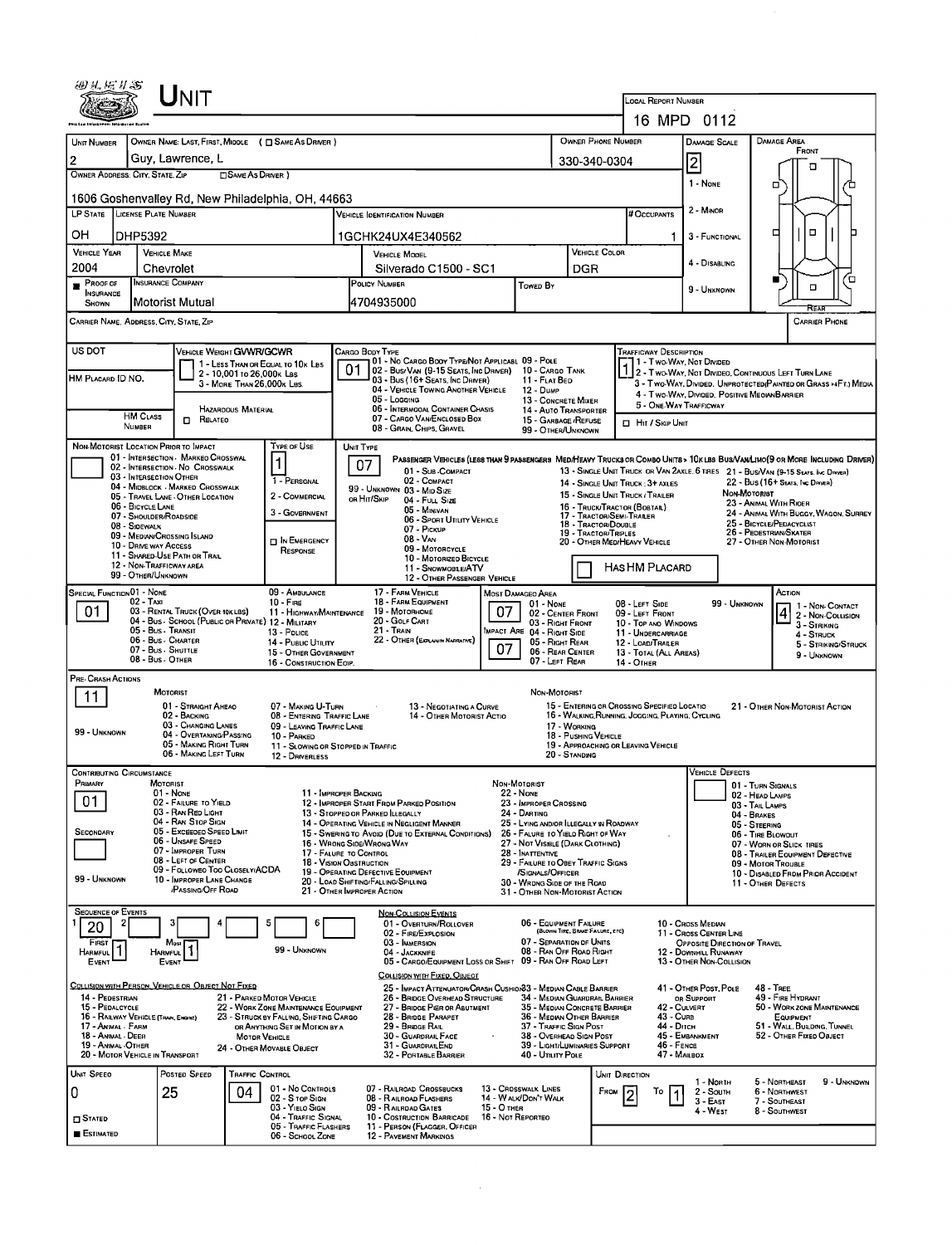| UNIT                                                                                                                                                                                                                                                                |                                                                                                                                 |                                                                                                                                                        |                                         |  |  |  |  |  |  |  |
|---------------------------------------------------------------------------------------------------------------------------------------------------------------------------------------------------------------------------------------------------------------------|---------------------------------------------------------------------------------------------------------------------------------|--------------------------------------------------------------------------------------------------------------------------------------------------------|-----------------------------------------|--|--|--|--|--|--|--|
|                                                                                                                                                                                                                                                                     |                                                                                                                                 | LOCAL REPORT NUMBER                                                                                                                                    |                                         |  |  |  |  |  |  |  |
|                                                                                                                                                                                                                                                                     |                                                                                                                                 | 16 MPD 0112                                                                                                                                            |                                         |  |  |  |  |  |  |  |
| UNIT NUMBER<br>OWNER NAME: LAST, FIRST, MIDDLE ( C SAME AS DRIVER )<br>Guy, Lawrence, L<br>$\overline{2}$                                                                                                                                                           |                                                                                                                                 | <b>OWNER PHONE NUMBER</b><br>Damage Area<br><b>DAMAGE SCALE</b>                                                                                        | FRONT                                   |  |  |  |  |  |  |  |
| OWNER ADDRESS: CITY, STATE, ZIP<br><b>SAME AS DRIVER</b> )                                                                                                                                                                                                          |                                                                                                                                 | $\overline{\mathbf{c}}$<br>330-340-0304                                                                                                                | п                                       |  |  |  |  |  |  |  |
| 1606 Goshenvalley Rd, New Philadelphia, OH, 44663                                                                                                                                                                                                                   |                                                                                                                                 | 1 - NONE<br>□                                                                                                                                          |                                         |  |  |  |  |  |  |  |
| LP STATE LICENSE PLATE NUMBER                                                                                                                                                                                                                                       | <b>VEHICLE IDENTIFICATION NUMBER</b>                                                                                            | 2 - MINOR<br># Occupants                                                                                                                               |                                         |  |  |  |  |  |  |  |
| ОΗ<br>DHP5392                                                                                                                                                                                                                                                       | 1GCHK24UX4E340562                                                                                                               | ▫<br>3 - FUNCTIONAL                                                                                                                                    | о                                       |  |  |  |  |  |  |  |
| <b>VEHICLE YEAR</b><br><b>VEHICLE MAKE</b>                                                                                                                                                                                                                          | <b>VEHICLE MODEL</b>                                                                                                            | VEHICLE COLOR<br>4 - DISABLING                                                                                                                         |                                         |  |  |  |  |  |  |  |
| 2004<br>Chevrolet<br><b>INSURANCE COMPANY</b><br>PROOF OF                                                                                                                                                                                                           | Silverado C1500 - SC1<br>POLICY NUMBER                                                                                          | DGR                                                                                                                                                    | Έ                                       |  |  |  |  |  |  |  |
| <b>INSURANCE</b><br>Motorist Mutual<br>SHOWN                                                                                                                                                                                                                        | Towed By<br>4704935000                                                                                                          | 9 - UNKNOWN                                                                                                                                            | O                                       |  |  |  |  |  |  |  |
| CARRIER NAME, ADDRESS, CITY, STATE, ZIP                                                                                                                                                                                                                             |                                                                                                                                 |                                                                                                                                                        |                                         |  |  |  |  |  |  |  |
| US DOT<br><b>VEHICLE WEIGHT GVWR/GCWR</b>                                                                                                                                                                                                                           | Cargo Body Type                                                                                                                 | <b>TRAFFICWAY DESCRIPTION</b>                                                                                                                          |                                         |  |  |  |  |  |  |  |
| 1 - LESS THAN OR EQUAL TO 10x LBS<br>2 - 10,001 to 26,000 k Lss<br>HM PLACARD ID NO.                                                                                                                                                                                | 01 - No CARGO BOOY TYPE/NOT APPLICABL 09 - POLE<br>01<br>02 - Bus/Van (9-15 Seats, Inc Driver)                                  | 11 - Two Way, Not Divided<br>10 - CARGO TANK<br>2 - Two-Way, Not Divideo, Continuous Left Turn Lane                                                    |                                         |  |  |  |  |  |  |  |
| 3 - MORE THAN 26,000K LBS.                                                                                                                                                                                                                                          | 03 - Bus (16+ Seats, Inc Driver)<br>11 - FLAT BED<br>04 - VEHICLE TOWING ANOTHER VEHICLE<br>12 - Duwe<br>05 - LOGGING           | 3 - Two-Way, Divided, UNPROTECTED(PAINTED OR GRASS >4FT.) MEDIA<br>4 - Two-WAY, DIVIDED, POSITIVE MEOIAN BARRIER                                       |                                         |  |  |  |  |  |  |  |
| HAZAROOUS MATERIAL<br><b>HM CLASS</b><br>RELATEO                                                                                                                                                                                                                    | 06 - INTERMOOAL CONTAINER CHASIS<br>07 - CARGO VAN ENCLOSED BOX                                                                 | 13 - CONCRETE MIXER<br>5 - ONE-WAY TRAFFICWAY<br>14 - AUTO TRANSPORTER                                                                                 |                                         |  |  |  |  |  |  |  |
| П.<br>NUMBER                                                                                                                                                                                                                                                        | 08 - GRAIN, CHIPS, GRAVEL                                                                                                       | 15 - GARBAGE / REFUSE<br><b>D</b> HIT / SKIP UNIT<br>99 - OTHER/UNKNOWN                                                                                |                                         |  |  |  |  |  |  |  |
| NON-MOTORIST LOCATION PRIOR TO IMPACT<br><b>TYPE OF USE</b><br>01 - INTERSECTION - MARKEO CROSSWAL                                                                                                                                                                  | UNIT TYPE                                                                                                                       | PASSENGER VENICLES (LESS THAN 9 PASSENGERS MEDIHEAVY TRUCKS OR COMBO UNITS > 10K LBS BUS/VAN/LIMO (9 OR MORE INCLUDING DRIVER)                         |                                         |  |  |  |  |  |  |  |
| 1<br>02 - INTERSECTION No CROSSWALK<br>03 - INTERSECTION OTHER<br>1 - PERSONAL                                                                                                                                                                                      | 07<br>01 - SUB - COMPACT<br>02 - COMPACT                                                                                        | 13 - SINGLE UNIT TRUCK OR VAN 2AXLE, 6 TRES 21 - BUS/VAN (9-15 SEATS, INC DRIVER)<br>22 - BUS (16+ SEATS, INC DIRIVER)                                 |                                         |  |  |  |  |  |  |  |
| 04 - MIDBLOCK - MARKED CROSSWALK<br>2 - COMMERCIAL<br>05 - TRAVEL LANE - OTHER LOCATION                                                                                                                                                                             | 99 - UNKNOWN 03 - MID SIZE<br>OR HIT/SKIP<br>04 - FULL SIZE                                                                     | 14 - SINGLE UNIT TRUCK; 3+ AXLES<br>NON-MOTORIST<br>15 - SINGLE UNIT TRUCK / TRAILER                                                                   |                                         |  |  |  |  |  |  |  |
| 06 - BICYCLE LANE<br>3 - GOVERNMENT<br>07 - SHOULDER/ROADSIDE                                                                                                                                                                                                       | 05 - Minivan<br>06 - SPORT UTILITY VEHICLE                                                                                      | 23 - ANIMAL WITH RIOER<br>16 - Truck/Tractor (Bostal)<br>17 - Tractor/Semi-Traler<br>25 - BICYCLE/PEDACYCLIST                                          | 24 - ANIMAL WITH BUGGY, WAGON, SURREY   |  |  |  |  |  |  |  |
| 08 - SIDEWALK<br>09 - MEDIAN/CROSSING ISLAND<br>IN EMERGENCY                                                                                                                                                                                                        | 07 - PICKUP<br>08 - VAN                                                                                                         | 18 - TRACTOR/DOUBLE<br>26 - PEDESTRIAN/SKATER<br>19 - TRACTOR/TRIPLES<br>20 - OTHER MEDIHEAVY VEHICLE<br>27 - Other Non-Motorist                       |                                         |  |  |  |  |  |  |  |
| 10 - DRIVE WAY ACCESS<br>RESPONSE<br>11 - SHARED-USE PATH OR TRAIL                                                                                                                                                                                                  | 09 - MOTORCYCLE<br>10 - MOTORIZED BICYCLE                                                                                       |                                                                                                                                                        |                                         |  |  |  |  |  |  |  |
| 12 - Non-Trafficway area<br>99 - OTHER/UNKNOWN                                                                                                                                                                                                                      | 11 - SNOWMOBLE/ATV<br>12 - OTHER PASSENGER VEHICLE                                                                              | HAS HM PLACARD                                                                                                                                         |                                         |  |  |  |  |  |  |  |
| <b>SPECIAL FUNCTION 01 - NONE</b><br>09 - AMBULANCE<br>02 - TAXI<br>$10 -$ Fire                                                                                                                                                                                     | 17 - FARM VEHICLE<br>MOST DAMAGEO AREA<br>18 - FARM EQUIPMENT<br>$01 - None$                                                    | ACTION<br>08 - LEFT SIDE<br>99 - Unknown                                                                                                               | 1 1 - Non-Contact                       |  |  |  |  |  |  |  |
| 01<br>03 - RENTAL TRUCK (OVER 10K LBS)<br>11 - HIGHWAY/MAINTENANCE<br>04 - Bus - SCHOOL (PUBLIC OR PRIVATE) 12 - MILITARY                                                                                                                                           | 07<br>19 - Мотояноме<br>20 - GOLF CART                                                                                          | 02 - CENTER FRONT<br>09 - LEFT FRONT<br>03 - Right Front<br>10 - TOP AND WINDOWS                                                                       | 2 - Non-Collision<br>3 - STRIKING       |  |  |  |  |  |  |  |
| 05 - Bus - Transit<br>13 - Pouce<br>06 - Bus - Charter<br>14 - PUBLIC UTILITY                                                                                                                                                                                       | 21 - Tran<br>MPACT ARE 04 - RIGHT SIDE<br>22 - OTHER (EXPLAN IN NARRATIVE)<br>07                                                | 11 - UNDERCARRIAGE<br>05 - RIGHT REAR<br>12 - LOAD/TRAILER                                                                                             | 4 - STRUCK<br>5 - STRIKING/STRUCK       |  |  |  |  |  |  |  |
| 07 - Bus - SHUTTLE<br>15 - OTHER GOVERNMENT<br>08 - Bus - OTHER<br>16 - CONSTRUCTION EOIP.                                                                                                                                                                          |                                                                                                                                 | 06 - REAR CENTER<br>13 - TOTAL (ALL AREAS)<br>07 - LEFT REAR<br>14 - Отнев                                                                             | 9 - UNKNOWN                             |  |  |  |  |  |  |  |
| PRE- CRASH ACTIONS<br>MOTORIST                                                                                                                                                                                                                                      |                                                                                                                                 | NON-MOTORIST                                                                                                                                           |                                         |  |  |  |  |  |  |  |
| 11<br>01 - STRAIGHT AHEAO<br>07 - MAKING U-TURN                                                                                                                                                                                                                     | 13 - NEGOTIATING A CURVE                                                                                                        | 15 - ENTERING OR CROSSING SPECIFIED LOCATIO                                                                                                            | 21 - OTHER NON-MOTORIST ACTION          |  |  |  |  |  |  |  |
| 02 - BACKING<br>08 - ENTERING TRAFFIC LANE<br>03 - CHANGING LANES<br>09 - LEAVING TRAFFIC LANE<br>99 - UNKNOWN<br>04 - OVERTAKING/PASSING                                                                                                                           | 14 - OTHER MOTORIST ACTIO                                                                                                       | 16 - WALKING, RUNNING, JOGGING, PLAYING, CYCLING<br>17 - WORKING                                                                                       |                                         |  |  |  |  |  |  |  |
| 10 - PARKED<br>05 - MAKING RIGHT TURN<br>06 - MAKING LEFT TURN<br>12 - DRIVERLESS                                                                                                                                                                                   | 11 - SLOWING OR STOPPED IN TRAFFIC                                                                                              | 18 - PUSHING VEHICLE<br>19 - APPROACHING OR LEAVING VEHICLE<br>20 - Standing                                                                           |                                         |  |  |  |  |  |  |  |
| <b>CONTRIBUTING CIRCUMSTANCE</b>                                                                                                                                                                                                                                    |                                                                                                                                 | <b>VEHICLE DEFECTS</b>                                                                                                                                 |                                         |  |  |  |  |  |  |  |
| MOTORIST<br>PRIMARY<br>$01 - None$                                                                                                                                                                                                                                  | NON-MOTORIST<br><b>22 - NONE</b><br>11 - IMPROPER BACKING                                                                       | 01 - TURN SIGNALS<br>02 - HEAD LAMPS                                                                                                                   |                                         |  |  |  |  |  |  |  |
| 01<br>02 - FAILURE TO YIELD<br>03 - RAN RED LIGHT                                                                                                                                                                                                                   | 12 - IMPROPER START FROM PARKED POSITION<br>23 - IMPROPER CROSSING<br>13 - Stopped or Parked Llegally<br>24 - DARTING           | 03 - TAIL LAMPS<br>04 - BRAKES                                                                                                                         |                                         |  |  |  |  |  |  |  |
| 04 - RAN STOP SIGN<br>05 - Exceeped Speed Limit<br><b>SECONDARY</b>                                                                                                                                                                                                 | 14 - OPERATING VEHICLE IN NEGLIGENT MANNER<br>15 - Swering to Avoid (Due to External Conditions)                                | 25 - LYING AND/OR LLEGALLY IN ROADWAY<br>05 - STEERING<br>26 - FALURE TO YIELD RIGHT OF WAY<br>06 - TIRE BLOWDUT                                       |                                         |  |  |  |  |  |  |  |
| 06 - Unsafe Speed<br>07 - IMPROPER TURN<br>08 - LEFT OF CENTER                                                                                                                                                                                                      | 16 - Wrong Side/Wrong Way<br>17 - FALURE TO CONTROL<br>28 - INATTENTIVE                                                         | 27 - NOT VISBLE (DARK CLOTHING)<br>07 - WORN OR SLICK TIRES                                                                                            | 08 - TRAILER EQUIPMENT DEFECTIVE        |  |  |  |  |  |  |  |
| 09 - FOLLOWEO TOO CLOSELY/ACDA<br>99 - UNKNOWN<br>10 - IMPROPER LANE CHANGE                                                                                                                                                                                         | 18 - VISION OBSTRUCTION<br>19 - OPERATING DEFECTIVE EQUIPMENT<br><b>SIGNALS/OFFICER</b><br>20 - LOAD SHIFTING/FALLING/SPILLING  | 29 - FAILURE TO OBEY TRAFFIC SIGNS<br>09 - MOTOR TROUBLE                                                                                               | 10 - DISABLED FROM PRIOR ACCIDENT       |  |  |  |  |  |  |  |
| /PASSING/OFF ROAD                                                                                                                                                                                                                                                   | 21 - OTHER IMPROPER ACTION                                                                                                      | 30 - WRONG SIDE OF THE ROAD<br>11 - OTHER DEFECTS<br>31 - OTHER NON-MOTORIST ACTION                                                                    |                                         |  |  |  |  |  |  |  |
| <b>SEQUENCE OF EVENTS</b><br>5                                                                                                                                                                                                                                      | <b>NON-COLLISION EVENTS</b><br>01 - OVERTURN/ROLLOVER                                                                           | 06 - EQUIPMENT FAILURE<br>10 - Cross Median                                                                                                            |                                         |  |  |  |  |  |  |  |
| 20<br>FIRST<br>Most                                                                                                                                                                                                                                                 | 02 - FIRE/EXPLOSION<br>03 - IMMERSION                                                                                           | (BLOWN TIRE, BRACE FAILURE, ETC)<br>11 - Cross CENTER LINE<br>07 - SEPARATION OF UNITS<br>OPPOSITE DIRECTION OF TRAVEL                                 |                                         |  |  |  |  |  |  |  |
| 99 - Unknown<br>Harmful<br><b>HARMFUL</b><br>EVENT<br>EVENT                                                                                                                                                                                                         | 04 - JACKKNIFE<br>05 - CARGO/EQUIPMENT LOSS OR SHIFT 09 - RAN OFF ROAD LEFT                                                     | 08 - RAN OFF ROAD RIGHT<br><b>12 - DOWNHILL RUNAWAY</b><br>13 - OTHER NON-COLLISION                                                                    |                                         |  |  |  |  |  |  |  |
| COLLISION WITH PERSON, VEHICLE OR OBJECT NOT FIXED                                                                                                                                                                                                                  | COLLISION WITH FIXED, OBJECT                                                                                                    |                                                                                                                                                        |                                         |  |  |  |  |  |  |  |
| 14 - PEDESTRIAN<br>21 - PARKED MOTOR VEHICLE<br>15 - PEDALCYCLE<br>22 - WORK ZONE MAINTENANCE EQUIPMENT                                                                                                                                                             | 25 - IMPACT ATTENUATOR/CRASH CUSHION33 - MEDIAN CABLE BARRIER<br>26 - BRIDGE OVERHEAD STRUCTURE<br>27 - BRIDGE PIER OR ABUTMENT | 41 - OTHER POST, POLE<br>48 - TREE<br>34 - MEDIAN GUARDRAIL BARRIER<br>49 - FIRE HYDRANT<br>OR SUPPORT<br>35 - MEDIAN CONCRETE BARRIER<br>42 - CULVERT | 50 - WORK ZONE MAINTENANCE              |  |  |  |  |  |  |  |
| 16 - RAILWAY VEHICLE (TRAM, ENGINE)<br>23 - STRUCK BY FALLING, SHIFTING CARGO<br>17 - Animal - Farm<br>OR ANYTHING SET IN MOTION BY A                                                                                                                               | 28 - BRIDGE PARAPET<br>29 - BRIDGE RAIL                                                                                         | 36 - MEDIAN OTHER BARRIER<br><b>43 - Cuas</b><br>44 - Олсн<br>37 - TRAFFIC SIGN POST                                                                   | EQUIPMENT<br>51 - WALL, BULDING, TUNNEL |  |  |  |  |  |  |  |
| 45 - EMBANKMENT<br>18 - ANIMAL - DEER<br>30 - GUARDRAIL FACE<br>38 - OVERHEAD SIGN POST<br>52 - OTHER FIXED OBJECT<br><b>MOTOR VEHICLE</b><br>$46 -$ FENCE<br>19 - ANMAL - OTHER<br>39 - LIGHT/LUMINARIES SUPPORT<br>31 - GUARDRAILEND<br>24 - OTHER MOVABLE OBJECT |                                                                                                                                 |                                                                                                                                                        |                                         |  |  |  |  |  |  |  |
| 20 - MOTOR VEHICLE IN TRANSPORT                                                                                                                                                                                                                                     | 32 - PORTABLE BARRIER<br>40 - UTILITY POLE                                                                                      | 47 - MAILBOX                                                                                                                                           |                                         |  |  |  |  |  |  |  |
| POSTED SPEED<br>UNIT SPEED<br><b>TRAFFIC CONTROL</b><br>01 - No CONTROLS                                                                                                                                                                                            | 07 - RAILROAD CROSSBUCKS<br>13 - CROSSWALK LINES                                                                                | UNIT DIRECTION<br>5 - NORTHEAST<br>1 - North<br>From<br>Т٥<br>2 - South<br>6 - NORTHWEST                                                               | 9 - UNKNOWN                             |  |  |  |  |  |  |  |
| 25<br>0<br>04<br>02 S TOP SIGN<br>03 - YIELO SIGN                                                                                                                                                                                                                   | 08 - RAILROAD FLASHERS<br>14 - WALK/DON'T WALK<br>09 - RAILRDAD GATES<br>15 - О тнев                                            | $3 - East$<br>7 - SOUTHEAST<br>4 - WEST<br>8 - Southwest                                                                                               |                                         |  |  |  |  |  |  |  |
| 04 - TRAFFIC SIGNAL<br>$\square$ Stated<br>05 - TRAFFIC FLASHERS<br><b>ESTIMATED</b>                                                                                                                                                                                | 10 - COSTRUCTION BARRICADE<br>16 - Not Reported<br>11 - PERSON (FLAGGER, OFFICER                                                |                                                                                                                                                        |                                         |  |  |  |  |  |  |  |
| 06 - SCHOOL ZONE                                                                                                                                                                                                                                                    | <b>12 - PAVEMENT MARKINGS</b>                                                                                                   |                                                                                                                                                        |                                         |  |  |  |  |  |  |  |

 $\label{eq:1} \frac{1}{\sqrt{2}}\left(\frac{1}{\sqrt{2}}\right)^{2} \left(\frac{1}{\sqrt{2}}\right)^{2} \left(\frac{1}{\sqrt{2}}\right)^{2} \left(\frac{1}{\sqrt{2}}\right)^{2} \left(\frac{1}{\sqrt{2}}\right)^{2} \left(\frac{1}{\sqrt{2}}\right)^{2} \left(\frac{1}{\sqrt{2}}\right)^{2} \left(\frac{1}{\sqrt{2}}\right)^{2} \left(\frac{1}{\sqrt{2}}\right)^{2} \left(\frac{1}{\sqrt{2}}\right)^{2} \left(\frac{1}{\sqrt{2}}\right)^{2} \left(\frac{$